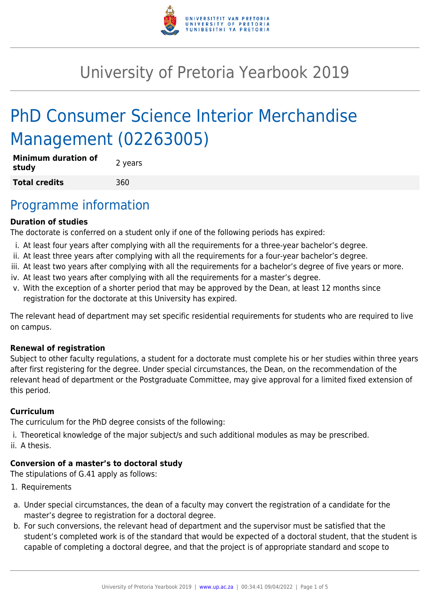

# University of Pretoria Yearbook 2019

# PhD Consumer Science Interior Merchandise Management (02263005)

| <b>Minimum duration of</b><br>study | 2 years |
|-------------------------------------|---------|
| <b>Total credits</b>                | 360     |

### Programme information

### **Duration of studies**

The doctorate is conferred on a student only if one of the following periods has expired:

- i. At least four years after complying with all the requirements for a three-year bachelor's degree.
- ii. At least three years after complying with all the requirements for a four-year bachelor's degree.
- iii. At least two years after complying with all the requirements for a bachelor's degree of five years or more.
- iv. At least two years after complying with all the requirements for a master's degree.
- v. With the exception of a shorter period that may be approved by the Dean, at least 12 months since registration for the doctorate at this University has expired.

The relevant head of department may set specific residential requirements for students who are required to live on campus.

### **Renewal of registration**

Subject to other faculty regulations, a student for a doctorate must complete his or her studies within three years after first registering for the degree. Under special circumstances, the Dean, on the recommendation of the relevant head of department or the Postgraduate Committee, may give approval for a limited fixed extension of this period.

### **Curriculum**

The curriculum for the PhD degree consists of the following:

i. Theoretical knowledge of the major subject/s and such additional modules as may be prescribed. ii. A thesis.

### **Conversion of a master's to doctoral study**

The stipulations of G.41 apply as follows:

- 1. Requirements
- a. Under special circumstances, the dean of a faculty may convert the registration of a candidate for the master's degree to registration for a doctoral degree.
- b. For such conversions, the relevant head of department and the supervisor must be satisfied that the student's completed work is of the standard that would be expected of a doctoral student, that the student is capable of completing a doctoral degree, and that the project is of appropriate standard and scope to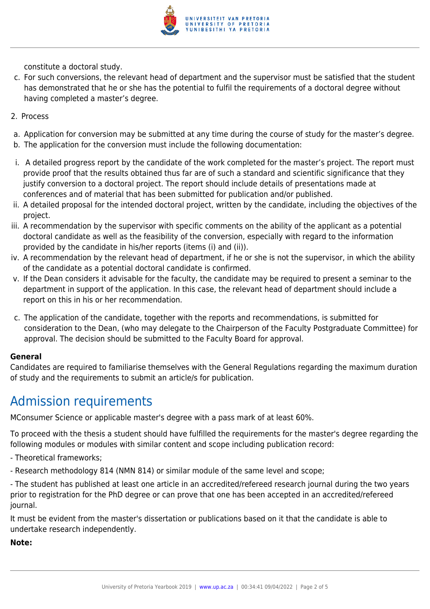

constitute a doctoral study.

- c. For such conversions, the relevant head of department and the supervisor must be satisfied that the student has demonstrated that he or she has the potential to fulfil the requirements of a doctoral degree without having completed a master's degree.
- 2. Process
- a. Application for conversion may be submitted at any time during the course of study for the master's degree.
- b. The application for the conversion must include the following documentation:
- i. A detailed progress report by the candidate of the work completed for the master's project. The report must provide proof that the results obtained thus far are of such a standard and scientific significance that they justify conversion to a doctoral project. The report should include details of presentations made at conferences and of material that has been submitted for publication and/or published.
- ii. A detailed proposal for the intended doctoral project, written by the candidate, including the objectives of the project.
- iii. A recommendation by the supervisor with specific comments on the ability of the applicant as a potential doctoral candidate as well as the feasibility of the conversion, especially with regard to the information provided by the candidate in his/her reports (items (i) and (ii)).
- iv. A recommendation by the relevant head of department, if he or she is not the supervisor, in which the ability of the candidate as a potential doctoral candidate is confirmed.
- v. If the Dean considers it advisable for the faculty, the candidate may be required to present a seminar to the department in support of the application. In this case, the relevant head of department should include a report on this in his or her recommendation.
- c. The application of the candidate, together with the reports and recommendations, is submitted for consideration to the Dean, (who may delegate to the Chairperson of the Faculty Postgraduate Committee) for approval. The decision should be submitted to the Faculty Board for approval.

#### **General**

Candidates are required to familiarise themselves with the General Regulations regarding the maximum duration of study and the requirements to submit an article/s for publication.

## Admission requirements

MConsumer Science or applicable master's degree with a pass mark of at least 60%.

To proceed with the thesis a student should have fulfilled the requirements for the master's degree regarding the following modules or modules with similar content and scope including publication record:

- Theoretical frameworks;
- Research methodology 814 (NMN 814) or similar module of the same level and scope;

- The student has published at least one article in an accredited/refereed research journal during the two years prior to registration for the PhD degree or can prove that one has been accepted in an accredited/refereed journal.

It must be evident from the master's dissertation or publications based on it that the candidate is able to undertake research independently.

**Note:**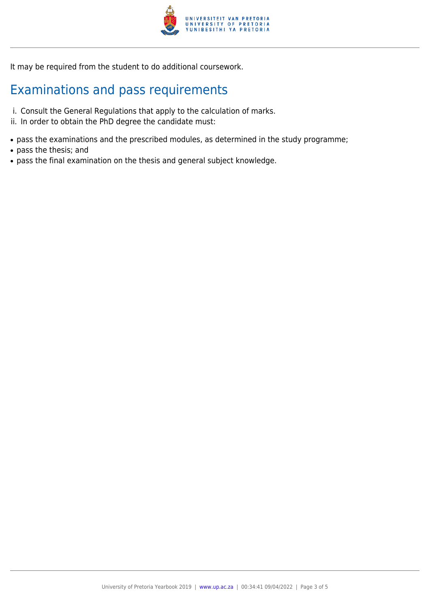

It may be required from the student to do additional coursework.

# Examinations and pass requirements

- i. Consult the General Regulations that apply to the calculation of marks.
- ii. In order to obtain the PhD degree the candidate must:
- pass the examinations and the prescribed modules, as determined in the study programme;
- pass the thesis; and
- pass the final examination on the thesis and general subject knowledge.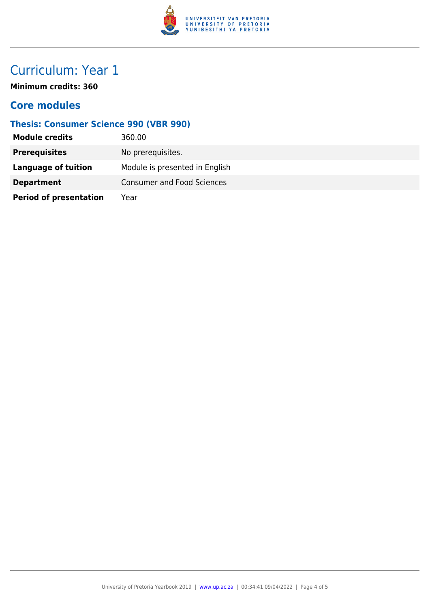

## Curriculum: Year 1

**Minimum credits: 360**

### **Core modules**

### **Thesis: Consumer Science 990 (VBR 990)**

| <b>Module credits</b>         | 360.00                            |
|-------------------------------|-----------------------------------|
| <b>Prerequisites</b>          | No prerequisites.                 |
| Language of tuition           | Module is presented in English    |
| <b>Department</b>             | <b>Consumer and Food Sciences</b> |
| <b>Period of presentation</b> | Year                              |